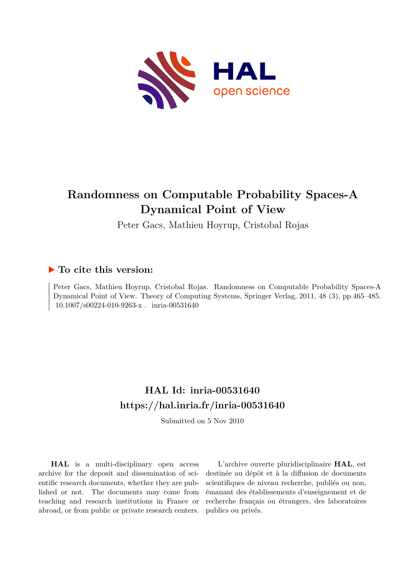

# **Randomness on Computable Probability Spaces-A Dynamical Point of View**

Peter Gacs, Mathieu Hoyrup, Cristobal Rojas

### **To cite this version:**

Peter Gacs, Mathieu Hoyrup, Cristobal Rojas. Randomness on Computable Probability Spaces-A Dynamical Point of View. Theory of Computing Systems, Springer Verlag, 2011, 48 (3), pp.465–485. 10.1007/s00224-010-9263-x. inria-00531640

## **HAL Id: inria-00531640 <https://hal.inria.fr/inria-00531640>**

Submitted on 5 Nov 2010

**HAL** is a multi-disciplinary open access archive for the deposit and dissemination of scientific research documents, whether they are published or not. The documents may come from teaching and research institutions in France or abroad, or from public or private research centers.

L'archive ouverte pluridisciplinaire **HAL**, est destinée au dépôt et à la diffusion de documents scientifiques de niveau recherche, publiés ou non, émanant des établissements d'enseignement et de recherche français ou étrangers, des laboratoires publics ou privés.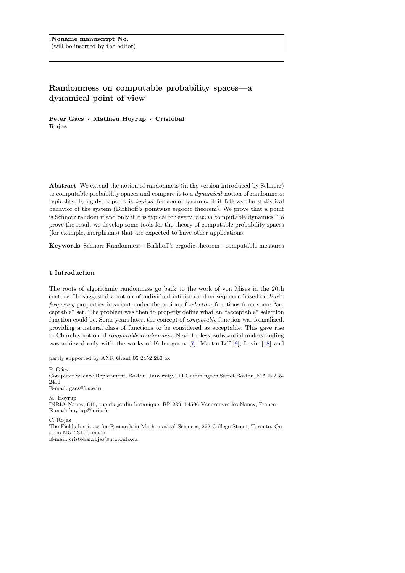### <span id="page-1-0"></span>Randomness on computable probability spaces—a dynamical point of view

Peter Gács · Mathieu Hoyrup · Cristóbal Rojas

Abstract We extend the notion of randomness (in the version introduced by Schnorr) to computable probability spaces and compare it to a dynamical notion of randomness: typicality. Roughly, a point is typical for some dynamic, if it follows the statistical behavior of the system (Birkhoff's pointwise ergodic theorem). We prove that a point is Schnorr random if and only if it is typical for every *mixing* computable dynamics. To prove the result we develop some tools for the theory of computable probability spaces (for example, morphisms) that are expected to have other applications.

Keywords Schnorr Randomness · Birkhoff's ergodic theorem · computable measures

#### 1 Introduction

The roots of algorithmic randomness go back to the work of von Mises in the 20th century. He suggested a notion of individual infinite random sequence based on limitfrequency properties invariant under the action of selection functions from some "acceptable" set. The problem was then to properly define what an "acceptable" selection function could be. Some years later, the concept of computable function was formalized, providing a natural class of functions to be considered as acceptable. This gave rise to Church's notion of computable randomness. Nevertheless, substantial understanding was achieved only with the works of Kolmogorov  $[7]$ , Martin-Löf  $[9]$ , Levin  $[18]$  and

partly supported by ANR Grant 05 2452 260 ox

P. Gács

Computer Science Department, Boston University, 111 Cummington Street Boston, MA 02215- 2411

E-mail: gacs@bu.edu

M. Hoyrup INRIA Nancy, 615, rue du jardin botanique, BP 239, 54506 Vandœuvre-lès-Nancy, France E-mail: hoyrup@loria.fr

C. Rojas

The Fields Institute for Research in Mathematical Sciences, 222 College Street, Toronto, Ontario M5T 3J, Canada

E-mail: cristobal.rojas@utoronto.ca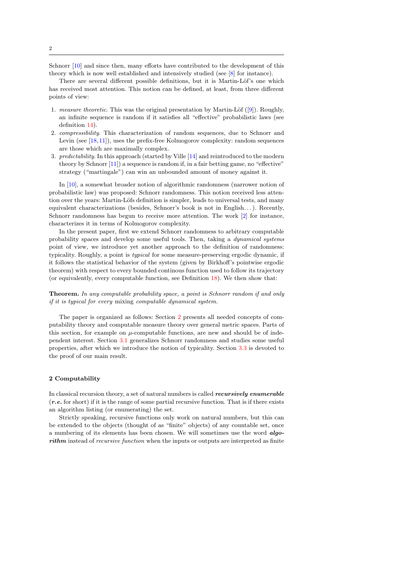<span id="page-2-1"></span>Schnorr [\[10\]](#page-18-2) and since then, many efforts have contributed to the development of this theory which is now well established and intensively studied (see [\[8\]](#page-18-3) for instance).

There are several different possible definitions, but it is Martin-Löf's one which has received most attention. This notion can be defined, at least, from three different points of view:

- 1. measure theoretic. This was the original presentation by Martin-Löf  $([9])$  $([9])$  $([9])$ . Roughly, an infinite sequence is random if it satisfies all "effective" probabilistic laws (see definition [14\)](#page-8-0).
- 2. compressibility. This characterization of random sequences, due to Schnorr and Levin (see [\[18,](#page-18-1)[11\]](#page-18-4)), uses the prefix-free Kolmogorov complexity: random sequences are those which are maximally complex.
- 3. predictability. In this approach (started by Ville [\[14\]](#page-18-5) and reintroduced to the modern theory by Schnorr [\[11\]](#page-18-4)) a sequence is random if, in a fair betting game, no "effective" strategy ("martingale") can win an unbounded amount of money against it.

In [\[10\]](#page-18-2), a somewhat broader notion of algorithmic randomness (narrower notion of probabilistic law) was proposed: Schnorr randomness. This notion received less attention over the years: Martin-Löfs definition is simpler, leads to universal tests, and many equivalent characterizations (besides, Schnorr's book is not in English. . . ). Recently, Schnorr randomness has begun to receive more attention. The work [\[2\]](#page-17-1) for instance, characterizes it in terms of Kolmogorov complexity.

In the present paper, first we extend Schnorr randomness to arbitrary computable probability spaces and develop some useful tools. Then, taking a dynamical systems point of view, we introduce yet another approach to the definition of randomness: typicality. Roughly, a point is typical for some measure-preserving ergodic dynamic, if it follows the statistical behavior of the system (given by Birkhoff's pointwise ergodic theorem) with respect to every bounded continous function used to follow its trajectory (or equivalently, every computable function, see Definition [18\)](#page-10-0). We then show that:

Theorem. In any computable probability space, a point is Schnorr random if and only if it is typical for every mixing computable dynamical system.

The paper is organized as follows: Section [2](#page-2-0) presents all needed concepts of computability theory and computable measure theory over general metric spaces. Parts of this section, for example on  $\mu$ -computable functions, are new and should be of independent interest. Section [3.1](#page-8-1) generalizes Schnorr randomness and studies some useful properties, after which we introduce the notion of typicality. Section [3.3](#page-11-0) is devoted to the proof of our main result.

#### <span id="page-2-0"></span>2 Computability

In classical recursion theory, a set of natural numbers is called *recursively enumerable*  $(r.e.$  for short) if it is the range of some partial recursive function. That is if there exists an algorithm listing (or enumerating) the set.

Strictly speaking, recursive functions only work on natural numbers, but this can be extended to the objects (thought of as "finite" objects) of any countable set, once a numbering of its elements has been chosen. We will sometimes use the word algorithm instead of recursive function when the inputs or outputs are interpreted as finite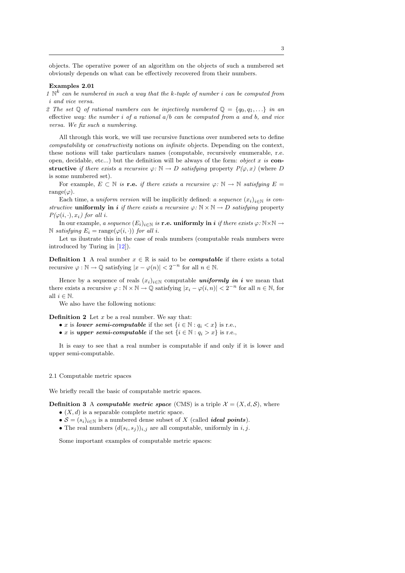<span id="page-3-0"></span>objects. The operative power of an algorithm on the objects of such a numbered set obviously depends on what can be effectively recovered from their numbers.

#### Examples 2.01

1  $\mathbb{N}^k$  can be numbered in such a way that the k-tuple of number i can be computed from i and vice versa.

2 The set Q of rational numbers can be injectively numbered  $\mathbb{Q} = \{q_0, q_1, ...\}$  in an effective way: the number i of a rational  $a/b$  can be computed from a and b, and vice versa. We fix such a numbering.

All through this work, we will use recursive functions over numbered sets to define computability or constructivity notions on infinite objects. Depending on the context, these notions will take particulars names (computable, recursively enumerable, r.e. open, decidable, etc...) but the definition will be always of the form: *object x is* constructive if there exists a recursive  $\varphi \colon \mathbb{N} \to D$  satisfying property  $P(\varphi, x)$  (where D is some numbered set).

For example,  $E \subset \mathbb{N}$  is **r.e.** if there exists a recursive  $\varphi \colon \mathbb{N} \to \mathbb{N}$  satisfying  $E =$ range( $\varphi$ ).

Each time, a uniform version will be implicitly defined: a sequence  $(x_i)_{i\in\mathbb{N}}$  is constructive uniformly in i if there exists a recursive  $\varphi: \mathbb{N} \times \mathbb{N} \to D$  satisfying property  $P(\varphi(i, \cdot), x_i)$  for all i.

In our example, a sequence  $(E_i)_{i\in\mathbb{N}}$  is **r.e. uniformly in i** if there exists  $\varphi: \mathbb{N} \times \mathbb{N} \to$ N satisfying  $E_i = \text{range}(\varphi(i, \cdot))$  for all i.

Let us ilustrate this in the case of reals numbers (computable reals numbers were introduced by Turing in [\[12\]](#page-18-6)).

**Definition 1** A real number  $x \in \mathbb{R}$  is said to be *computable* if there exists a total recursive  $\varphi : \mathbb{N} \to \mathbb{Q}$  satisfying  $|x - \varphi(n)| < 2^{-n}$  for all  $n \in \mathbb{N}$ .

Hence by a sequence of reals  $(x_i)_{i\in\mathbb{N}}$  computable *uniformly in i* we mean that there exists a recursive  $\varphi : \mathbb{N} \times \mathbb{N} \to \mathbb{Q}$  satisfying  $|x_i - \varphi(i, n)| < 2^{-n}$  for all  $n \in \mathbb{N}$ , for all  $i \in \mathbb{N}$ .

We also have the following notions:

**Definition 2** Let  $x$  be a real number. We say that:

- x is lower semi-computable if the set  $\{i \in \mathbb{N} : a_i \leq x\}$  is r.e.,
- x is upper semi-computable if the set  $\{i \in \mathbb{N} : q_i > x\}$  is r.e.,

It is easy to see that a real number is computable if and only if it is lower and upper semi-computable.

#### 2.1 Computable metric spaces

We briefly recall the basic of computable metric spaces.

**Definition 3** A computable metric space (CMS) is a triple  $\mathcal{X} = (X, d, \mathcal{S})$ , where

- $\bullet$   $(X, d)$  is a separable complete metric space.
- $S = (s_i)_{i \in \mathbb{N}}$  is a numbered dense subset of X (called *ideal points*).
- The real numbers  $(d(s_i, s_j))_{i,j}$  are all computable, uniformly in  $i, j$ .

Some important examples of computable metric spaces: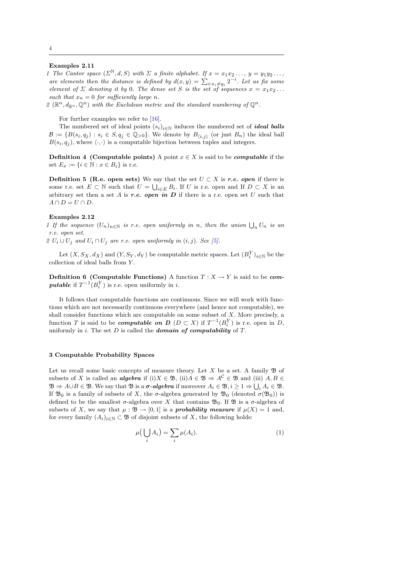#### <span id="page-4-3"></span>Examples 2.11

1 The Cantor space  $(\Sigma^{\mathbb{N}}, d, S)$  with  $\Sigma$  a finite alphabet. If  $x = x_1x_2 \ldots, y = y_1y_2 \ldots$ are elements then the distance is defined by  $d(x,y) = \sum_{i:x_i \neq y_i} 2^{-i}$ . Let us fix some element of  $\Sigma$  denoting it by 0. The dense set S is the set of sequences  $x = x_1x_2...$ such that  $x_n = 0$  for sufficiently large n.

2  $(\mathbb{R}^n, d_{\mathbb{R}^n}, \mathbb{Q}^n)$  with the Euclidean metric and the standard numbering of  $\mathbb{Q}^n$ .

For further examples we refer to [\[16\]](#page-18-7).

The numbered set of ideal points  $(s_i)_{i\in\mathbb{N}}$  induces the numbered set of *ideal balls*  $\mathcal{B} := \{B(s_i, q_j) : s_i \in S, q_j \in \mathbb{Q}_{>0}\}.$  We denote by  $B_{\langle i,j \rangle}$  (or just  $B_n$ ) the ideal ball  $B(s_i, q_j)$ , where  $\langle \cdot, \cdot \rangle$  is a computable bijection between tuples and integers.

**Definition 4 (Computable points)** A point  $x \in X$  is said to be *computable* if the set  $E_x := \{i \in \mathbb{N} : x \in B_i\}$  is r.e.

**Definition 5 (R.e. open sets)** We say that the set  $U \subset X$  is r.e. open if there is some r.e. set  $E \subset \mathbb{N}$  such that  $U = \bigcup_{i \in E} B_i$ . If U is r.e. open and If  $D \subset X$  is an arbitrary set then a set A is r.e. open in  $D$  if there is a r.e. open set U such that  $A \cap D = U \cap D$ .

#### Examples 2.12

1 If the sequence  $(U_n)_{n \in \mathbb{N}}$  is r.e. open uniformly in n, then the union  $\bigcup_n U_n$  is an r.e. open set.

2  $U_i \cup U_j$  and  $U_i \cap U_j$  are r.e. open uniformly in  $(i, j)$ . See [\[5\]](#page-17-2).

Let  $(X, S_X, d_X)$  and  $(Y, S_Y, d_Y)$  be computable metric spaces. Let  $(B_i^Y)_{i \in \mathbb{N}}$  be the collection of ideal balls from Y.

<span id="page-4-1"></span>**Definition 6 (Computable Functions)** A function  $T : X \to Y$  is said to be *com***putable** if  $T^{-1}(B_i^Y)$  is r.e. open uniformly in *i*.

It follows that computable functions are continuous. Since we will work with functions which are not necessarily continuous everywhere (and hence not computable), we shall consider functions which are computable on some subset of  $X$ . More precisely, a function T is said to be *computable on*  $D$  ( $D \subset X$ ) if  $T^{-1}(B_i^Y)$  is r.e. open in D, uniformly in i. The set  $D$  is called the **domain of computability** of  $T$ .

#### <span id="page-4-2"></span>3 Computable Probability Spaces

Let us recall some basic concepts of measure theory. Let  $X$  be a set. A family  $\mathfrak B$  of subsets of X is called an **algebra** if (i)  $X \in \mathfrak{B}$ , (ii)  $A \in \mathfrak{B} \Rightarrow A^{\mathcal{C}} \in \mathfrak{B}$  and (iii)  $A, B \in$  $\mathfrak{B} \Rightarrow A \cup B \in \mathfrak{B}$ . We say that  $\mathfrak{B}$  is a  $\sigma$ -algebra if moreover  $A_i \in \mathfrak{B}, i \geq 1 \Rightarrow \bigcup_i A_i \in \mathfrak{B}$ . If  $\mathfrak{B}_0$  is a family of subsets of X, the  $\sigma$ -algebra generated by  $\mathfrak{B}_0$  (denoted  $\sigma(\mathfrak{B}_0)$ ) is defined to be the smallest  $\sigma$ -algebra over X that contains  $\mathfrak{B}_0$ . If  $\mathfrak{B}$  is a  $\sigma$ -algebra of subsets of X, we say that  $\mu : \mathfrak{B} \to [0,1]$  is a **probability measure** if  $\mu(X) = 1$  and, for every family  $(A_i)_{i\in\mathbb{N}}\subset\mathfrak{B}$  of disjoint subsets of X, the following holds:

<span id="page-4-0"></span>
$$
\mu\left(\bigcup_{i} A_{i}\right) = \sum_{i} \mu(A_{i}).\tag{1}
$$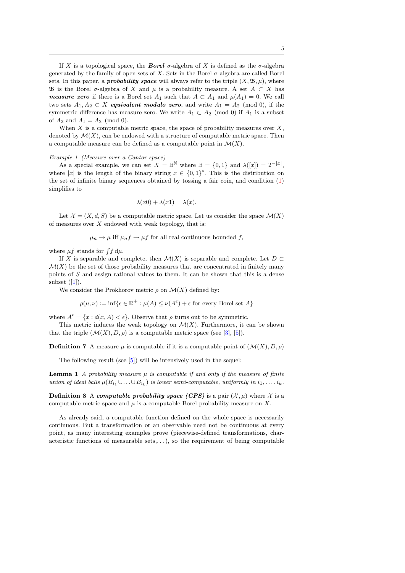<span id="page-5-2"></span>If X is a topological space, the **Borel**  $\sigma$ -algebra of X is defined as the  $\sigma$ -algebra generated by the family of open sets of X. Sets in the Borel σ-algebra are called Borel sets. In this paper, a **probability space** will always refer to the triple  $(X, \mathfrak{B}, \mu)$ , where **B** is the Borel  $\sigma$ -algebra of X and  $\mu$  is a probability measure. A set  $A \subset X$  has *measure zero* if there is a Borel set  $A_1$  such that  $A \subset A_1$  and  $\mu(A_1) = 0$ . We call two sets  $A_1, A_2 \subset X$  equivalent modulo zero, and write  $A_1 = A_2 \pmod{0}$ , if the symmetric difference has measure zero. We write  $A_1 \subset A_2 \pmod{0}$  if  $A_1$  is a subset of  $A_2$  and  $A_1 = A_2 \pmod{0}$ .

When X is a computable metric space, the space of probability measures over  $X$ , denoted by  $\mathcal{M}(X)$ , can be endowed with a structure of computable metric space. Then a computable measure can be defined as a computable point in  $\mathcal{M}(X)$ .

#### <span id="page-5-0"></span>Example 1 (Measure over a Cantor space)

As a special example, we can set  $X = \mathbb{B}^{\mathbb{N}}$  where  $\mathbb{B} = \{0,1\}$  and  $\lambda([x]) = 2^{-|x|}$ , where |x| is the length of the binary string  $x \in \{0,1\}^*$ . This is the distribution on the set of infinite binary sequences obtained by tossing a fair coin, and condition [\(1\)](#page-4-0) simplifies to

$$
\lambda(x0) + \lambda(x1) = \lambda(x).
$$

Let  $\mathcal{X} = (X, d, S)$  be a computable metric space. Let us consider the space  $\mathcal{M}(X)$ of measures over  $X$  endowed with weak topology, that is:

$$
\mu_n \to \mu
$$
 iff  $\mu_n f \to \mu f$  for all real continuous bounded  $f$ ,

where  $\mu f$  stands for  $\int f d\mu$ .

If X is separable and complete, then  $\mathcal{M}(X)$  is separable and complete. Let D  $\mathcal{M}(X)$  be the set of those probability measures that are concentrated in finitely many points of S and assign rational values to them. It can be shown that this is a dense subset  $([1])$  $([1])$  $([1])$ .

We consider the Prokhorov metric  $\rho$  on  $\mathcal{M}(X)$  defined by:

$$
\rho(\mu,\nu) := \inf \{ \epsilon \in \mathbb{R}^+ : \mu(A) \le \nu(A^{\epsilon}) + \epsilon \text{ for every Borel set } A \}
$$

where  $A^{\epsilon} = \{x : d(x, A) < \epsilon\}$ . Observe that  $\rho$  turns out to be symmetric.

This metric induces the weak topology on  $\mathcal{M}(X)$ . Furthermore, it can be shown that the triple  $(\mathcal{M}(X), D, \rho)$  is a computable metric space (see [\[3\]](#page-17-4), [\[5\]](#page-17-2)).

**Definition 7** A measure  $\mu$  is computable if it is a computable point of  $(\mathcal{M}(X), D, \rho)$ 

The following result (see [\[5\]](#page-17-2)) will be intensively used in the sequel:

<span id="page-5-1"></span>**Lemma 1** A probability measure  $\mu$  is computable if and only if the measure of finite union of ideal balls  $\mu(B_{i_1} \cup \ldots \cup B_{i_k})$  is lower semi-computable, uniformly in  $i_1, \ldots, i_k$ .

**Definition 8** A computable probability space (CPS) is a pair  $(\mathcal{X}, \mu)$  where X is a computable metric space and  $\mu$  is a computable Borel probability measure on X.

As already said, a computable function defined on the whole space is necessarily continuous. But a transformation or an observable need not be continuous at every point, as many interesting examples prove (piecewise-defined transformations, characteristic functions of measurable sets,...), so the requirement of being computable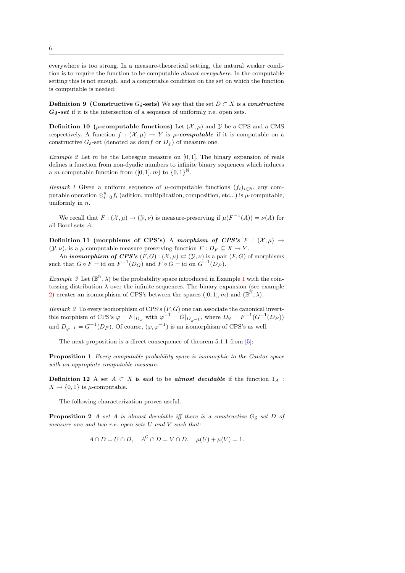<span id="page-6-3"></span>everywhere is too strong. In a measure-theoretical setting, the natural weaker condition is to require the function to be computable almost everywhere. In the computable setting this is not enough, and a computable condition on the set on which the function is computable is needed:

**Definition 9** (Constructive  $G_{\delta}$ -sets) We say that the set  $D \subset X$  is a constructive  $G_{\delta}$ -set if it is the intersection of a sequence of uniformly r.e. open sets.

**Definition 10** ( $\mu$ -computable functions) Let  $(\mathcal{X}, \mu)$  and  $\mathcal{Y}$  be a CPS and a CMS respectively. A function  $f : (\mathcal{X}, \mu) \to Y$  is  $\mu$ -computable if it is computable on a constructive  $G_{\delta}$ -set (denoted as domf or  $D_f$ ) of measure one.

<span id="page-6-0"></span>Example 2 Let m be the Lebesgue measure on  $[0, 1]$ . The binary expansion of reals defines a function from non-dyadic numbers to infinite binary sequences which induces a *m*-computable function from  $([0, 1], m)$  to  $\{0, 1\}^{\mathbb{N}}$ .

Remark 1 Given a uniform sequence of  $\mu$ -computable functions  $(f_i)_{i\in\mathbb{N}}$ , any computable operation  $\bigcirc_{i=0}^n f_i$  (adition, multiplication, composition, etc...) is  $\mu$ -computable, uniformly in  $n$ .

We recall that  $F: (\mathcal{X}, \mu) \to (\mathcal{Y}, \nu)$  is measure-preserving if  $\mu(F^{-1}(A)) = \nu(A)$  for all Borel sets A.

Definition 11 (morphisms of CPS's) A morphism of CPS's  $F : (\mathcal{X}, \mu) \rightarrow$  $(Y, \nu)$ , is a  $\mu$ -computable measure-preserving function  $F: D_F \subseteq X \to Y$ .

An *isomorphism of CPS's*  $(F, G) : (\mathcal{X}, \mu) \rightleftarrows (\mathcal{Y}, \nu)$  is a pair  $(F, G)$  of morphisms such that  $G \circ F = \text{id}$  on  $F^{-1}(D_G)$  and  $F \circ G = \text{id}$  on  $G^{-1}(D_F)$ .

<span id="page-6-2"></span>*Example 3* Let  $(\mathbb{B}^{\mathbb{N}}, \lambda)$  be the probability space introduced in Example [1](#page-5-0) with the cointossing distribution  $\lambda$  over the infinite sequences. The binary expansion (see example [2\)](#page-6-0) creates an isomorphism of CPS's between the spaces  $([0, 1], m)$  and  $(\mathbb{B}^{\mathbb{N}}, \lambda)$ .

Remark 2 To every isomorphism of CPS's  $(F, G)$  one can associate the canonical invertible morphism of CPS's  $\varphi = F|_{D_{\varphi}}$  with  $\varphi^{-1} = G|_{D_{\varphi^{-1}}}$ , where  $D_{\varphi} = F^{-1}(G^{-1}(D_F))$ and  $D_{\varphi^{-1}} = G^{-1}(D_F)$ . Of course,  $(\varphi, \varphi^{-1})$  is an isomorphism of CPS's as well.

The next proposition is a direct consequence of theorem 5.1.1 from [\[5\]](#page-17-2):

<span id="page-6-1"></span>Proposition 1 Every computable probability space is isomorphic to the Cantor space with an appropiate computable measure.

**Definition 12** A set  $A \subset X$  is said to be *almost decidable* if the function  $1_A$ :  $X \rightarrow \{0, 1\}$  is  $\mu$ -computable.

The following characterization proves useful.

**Proposition 2** A set A is almost decidable iff there is a constructive  $G_{\delta}$  set D of measure one and two r.e. open sets U and V such that:

$$
A \cap D = U \cap D, \quad A^{\mathcal{C}} \cap D = V \cap D, \quad \mu(U) + \mu(V) = 1.
$$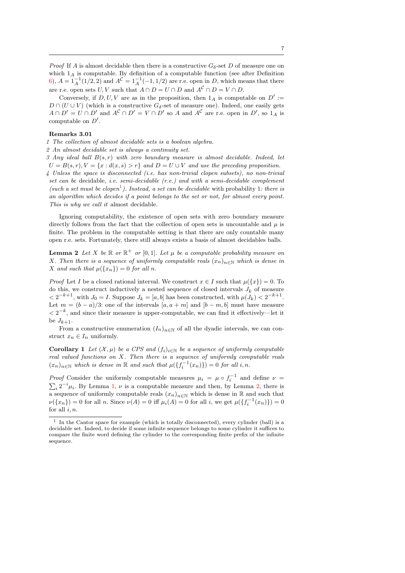*Proof* If A is almost decidable then there is a constructive  $G_{\delta}$ -set D of measure one on which  $1_A$  is computable. By definition of a computable function (see after Definition [6\)](#page-4-1),  $A = 1_A^{-1}(1/2, 2)$  and  $A^{\mathcal{C}} = 1_A^{-1}(-1, 1/2)$  are r.e. open in D, which means that there are r.e. open sets  $U, V$  such that  $A \cap D = U \cap D$  and  $A^C \cap D = V \cap D$ .

Conversely, if  $D, U, V$  are as in the proposition, then  $1_A$  is computable on  $D' :=$  $D \cap (U \cup V)$  (which is a constructive  $G_{\delta}$ -set of measure one). Indeed, one easily gets  $A \cap D' = U \cap D'$  and  $A^{\mathcal{C}} \cap D' = V \cap D'$  so A and  $A^{\mathcal{C}}$  are r.e. open in  $D'$ , so  $1_A$  is computable on  $D'$ .

#### Remarks 3.01

1 The collection of almost decidable sets is a boolean algebra.

2 An almost decidable set is always a continuity set.

3 Any ideal ball  $B(s, r)$  with zero boundary measure is almost decidable. Indeed, let  $U = B(s, r), V = \{x : d(x, s) > r\}$  and  $D = U \cup V$  and use the preceding proposition. 4 Unless the space is disconnected (i.e. has non-trivial clopen subsets), no non-trivial set can be decidable, i.e. semi-decidable (r.e.) and with a semi-decidable complement (such a set must be clopen<sup>[1](#page-7-0)</sup>). Instead, a set can be decidable with probability 1: there is an algorithm which decides if a point belongs to the set or not, for almost every point. This is why we call it almost decidable.

Ignoring computability, the existence of open sets with zero boundary measure directly follows from the fact that the collection of open sets is uncountable and  $\mu$  is finite. The problem in the computable setting is that there are only countable many open r.e. sets. Fortunately, there still always exists a basis of almost decidables balls.

<span id="page-7-1"></span>**Lemma 2** Let X be  $\mathbb{R}$  or  $\mathbb{R}^+$  or  $[0,1]$ . Let  $\mu$  be a computable probability measure on X. Then there is a sequence of uniformly computable reals  $(x_n)_{n\in\mathbb{N}}$  which is dense in X and such that  $\mu({x_n}) = 0$  for all n.

*Proof* Let I be a closed rational interval. We construct  $x \in I$  such that  $\mu({x}) = 0$ . To do this, we construct inductively a nested sequence of closed intervals  $J_k$  of measure  $\langle 2^{-k+1}, \text{ with } J_0 = I.$  Suppose  $J_k = [a, b]$  has been constructed, with  $\mu(J_k) \langle 2^{-k+1} \rangle$ . Let  $m = (b - a)/3$ : one of the intervals  $[a, a + m]$  and  $[b - m, b]$  must have measure  $\langle 2^{-k}$ , and since their measure is upper-computable, we can find it effectively—let it be  $J_{k+1}$ .

From a constructive enumeration  $(I_n)_{n\in\mathbb{N}}$  of all the dyadic intervals, we can construct  $x_n \in I_n$  uniformly.

<span id="page-7-2"></span>Corollary 1 Let  $(\mathcal{X}, \mu)$  be a CPS and  $(f_i)_{i \in \mathbb{N}}$  be a sequence of uniformly computable real valued functions on X. Then there is a sequence of uniformly computable reals  $(x_n)_{n \in \mathbb{N}}$  which is dense in  $\mathbb R$  and such that  $\mu({f_i^{-1}(x_n)}) = 0$  for all i, n.

*Proof* Consider the uniformly computable measures  $\mu_i = \mu \circ f_i^{-1}$  and define  $\nu =$  $\sum_i 2^{-i}\mu_i$ . By Lemma [1,](#page-5-1)  $\nu$  is a computable measure and then, by Lemma [2,](#page-7-1) there is a sequence of uniformly computable reals  $(x_n)_{n\in\mathbb{N}}$  which is dense in R and such that  $\nu({x_n}) = 0$  for all n. Since  $\nu(A) = 0$  iff  $\mu_i(A) = 0$  for all i, we get  $\mu({f_i^{-1}(x_n)}) = 0$ for all  $i, n$ .

<span id="page-7-0"></span><sup>&</sup>lt;sup>1</sup> In the Cantor space for example (which is totally disconnected), every cylinder (ball) is a decidable set. Indeed, to decide if some infinite sequence belongs to some cylinder it suffices to compare the finite word defining the cylinder to the corresponding finite prefix of the infinite sequence.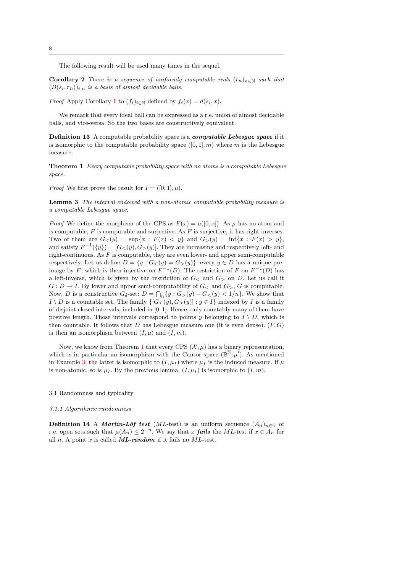The following result will be used many times in the sequel.

**Corollary 2** There is a sequence of uniformly computable reals  $(r_n)_{n\in\mathbb{N}}$  such that  $(B(s_i,r_n))_{i,n}$  is a basis of almost decidable balls.

*Proof* Apply Corollary [1](#page-7-2) to  $(f_i)_{i\in\mathbb{N}}$  defined by  $f_i(x) = d(s_i, x)$ .

We remark that every ideal ball can be expressed as a r.e. union of almost decidable balls, and vice-versa. So the two bases are constructively equivalent.

Definition 13 A computable probability space is a computable Lebesgue space if it is isomorphic to the computable probability space  $([0, 1], m)$  where m is the Lebesgue measure.

<span id="page-8-2"></span>Theorem 1 Every computable probability space with no atoms is a computable Lebesgue space.

*Proof* We first prove the result for  $I = ([0, 1], \mu)$ .

Lemma 3 The interval endowed with a non-atomic computable probability measure is a computable Lebesgue space.

*Proof* We define the morphism of the CPS as  $F(x) = \mu([0, x])$ . As  $\mu$  has no atom and is computable,  $F$  is computable and surjective. As  $F$  is surjective, it has right inverses. Two of them are  $G_{<} (y) = \sup\{x : F(x) < y\}$  and  $G_{>} (y) = \inf\{x : F(x) > y\}$ , and satisfy  $F^{-1}(\{y\}) = [G \lt (y), G \gt (y)]$ . They are increasing and respectively left- and right-continuous. As  $F$  is computable, they are even lower- and upper semi-computable respectively. Let us define  $D = \{y : G \lt (y) = G \gt (y)\}\$ : every  $y \in D$  has a unique preimage by F, which is then injective on  $F^{-1}(D)$ . The restriction of F on  $F^{-1}(D)$  has a left-inverse, which is given by the restriction of  $G<$  and  $G>$  on D. Let us call it  $G: D \to I$ . By lower and upper semi-computability of  $G<$  and  $G<sub>></sub>$ , G is computable. Now, D is a constructive  $G_{\delta}$ -set:  $D = \bigcap_{n} \{y : G_{>}(y) - G_{<}(y) < 1/n\}$ . We show that  $I \setminus D$  is a countable set. The family  $\{[G_{<}(y), G_{>}(y)]: y \in I\}$  indexed by I is a family of disjoint closed intervals, included in [0, 1]. Hence, only countably many of them have positive length. Those intervals correspond to points y belonging to  $I \setminus D$ , which is then countable. It follows that D has Lebesgue measure one (it is even dense).  $(F, G)$ is then an isomorphism between  $(I, \mu)$  and  $(I, m)$ .

Now, we know from Theorem [1](#page-6-1) that every CPS  $(\mathcal{X}, \mu)$  has a binary representation, which is in particular an isomorphism with the Cantor space  $(\mathbb{B}^{N}, \mu')$ . As mentioned in Example [3,](#page-6-2) the latter is isomorphic to  $(I, \mu_I)$  where  $\mu_I$  is the induced measure. If  $\mu$ is non-atomic, so is  $\mu_I$ . By the previous lemma,  $(I, \mu_I)$  is isomorphic to  $(I, m)$ .

#### <span id="page-8-1"></span>3.1 Randomness and typicality

#### 3.1.1 Algorithmic randomness

<span id="page-8-0"></span>**Definition 14** A *Martin-Löf test* (*ML*-test) is an uniform sequence  $(A_n)_{n\in\mathbb{N}}$  of r.e. open sets such that  $\mu(A_n) \leq 2^{-n}$ . We say that x **fails** the ML-test if  $x \in A_n$  for all n. A point x is called  $ML-random$  if it fails no  $ML-test$ .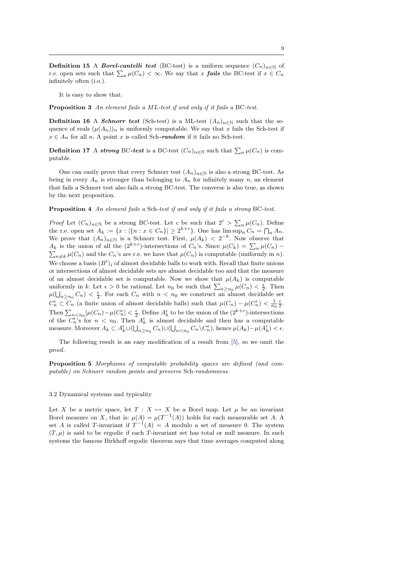<span id="page-9-0"></span>**Definition 15** A *Borel-cantelli test* (BC-test) is a uniform sequence  $(C_n)_{n\in\mathbb{N}}$  of r.e. open sets such that  $\sum_n \mu(C_n) < \infty$ . We say that x **fails** the BC-test if  $x \in C_n$ infinitely often (i.o.).

It is easy to show that:

Proposition 3 An element fails a ML-test if and only if it fails a BC-test.

**Definition 16** A *Schnorr test* (Sch-test) is a ML-test  $(A_n)_{n\in\mathbb{N}}$  such that the sequence of reals  $(\mu(A_n))_n$  is uniformly computable. We say that x fails the Sch-test if  $x \in A_n$  for all n. A point x is called Sch-random if it fails no Sch-test.

**Definition 17** A strong BC-test is a BC-test  $(C_n)_{n \in \mathbb{N}}$  such that  $\sum_n \mu(C_n)$  is computable.

One can easily prove that every Schnorr test  $(A_n)_{n\in\mathbb{N}}$  is also a strong BC-test. As being in every  $A_n$  is stronger than belonging to  $A_n$  for infinitely many n, an element that fails a Schnorr test also fails a strong BC-test. The converse is also true, as shown by the next proposition.

Proposition 4 An element fails a Sch-test if and only if it fails a strong BC-test.

*Proof* Let  $(C_n)_{n\in\mathbb{N}}$  be a strong BC-test. Let c be such that  $2^c > \sum_n \mu(C_n)$ . Define the r.e. open set  $A_k := \{x : |\{n : x \in C_n\}| \geq 2^{k+c}\}\)$ . One has  $\lim_{h \to \infty} \sup_n C_n = \bigcap_n A_n$ . We prove that  $(A_n)_{n\in\mathbb{N}}$  is a Schnorr test. First,  $\mu(A_k) < 2^{-k}$ . Now observe that  $A_k$  is the union of all the  $(2^{k+c})$ -intersections of  $C_n$ 's. Since  $\mu(C_k) = \sum_{k=1}^{\infty}$  $A_k$  is the union of all the  $(2^{k+c})$ -intersections of  $C_n$ 's. Since  $\mu(C_k) = \sum_n \mu(C_n) - \sum_{n \neq k} \mu(C_n)$  and the  $C_n$ 's are r.e. we have that  $\mu(C_n)$  is computable (uniformly in n). We choose a basis  $(B<sup>i</sup>)<sub>i</sub>$  of almost decidable balls to work with. Recall that finite unions or intersections of almost decidable sets are almost decidable too and that the measure of an almost decidable set is computable. Now we show that  $\mu(A_k)$  is computable uniformly in k. Let  $\epsilon > 0$  be rational. Let  $n_0$  be such that  $\sum_{n \geq n_0} \mu(C_n) < \frac{\epsilon}{2}$ . Then  $\mu(\bigcup_{n\geq n_0}C_n)<\frac{\epsilon}{2}$ . For each  $C_n$  with  $n< n_0$  we construct an almost decidable set  $C_n^{\epsilon} \subset C_n$  (a finite union of almost decidable balls) such that  $\mu(C_n) - \mu(C_n^{\epsilon}) < \frac{1}{n_0} \frac{\epsilon}{2}$ . Then  $\sum_{n\le n_0} \left[\mu(C_n) - \mu(C_n^{\epsilon}\right] < \frac{\epsilon}{2}$ . Define  $A_k^{\epsilon}$  to be the union of the  $(2^{k+c})$ -intersections of the  $C_n^{\epsilon}$ 's for  $n < n_0$ . Then  $A_k^{\epsilon}$  is almost decidable and then has a computable measure. Moreover  $A_k \subset A_k^{\epsilon} \cup (\bigcup_{n \geq n_0} C_n) \cup (\bigcup_{n \leq n_0} C_n \setminus C_n^{\epsilon}),$  hence  $\mu(A_k) - \mu(A_k^{\epsilon}) < \epsilon$ .

The following result is an easy modification of a result from [\[5\]](#page-17-2), so we omit the proof.

Proposition 5 Morphisms of computable probability spaces are defined (and computable) on Schnorr random points and preserve Sch-randomness.

#### 3.2 Dynamical systems and typicality

Let X be a metric space, let  $T : X \rightarrow X$  be a Borel map. Let  $\mu$  be an invariant Borel measure on X, that is:  $\mu(A) = \mu(T^{-1}(A))$  holds for each measurable set A. A set A is called T-invariant if  $T^{-1}(A) = A$  modulo a set of measure 0. The system  $(T, \mu)$  is said to be ergodic if each T-invariant set has total or null measure. In such systems the famous Birkhoff ergodic theorem says that time averages computed along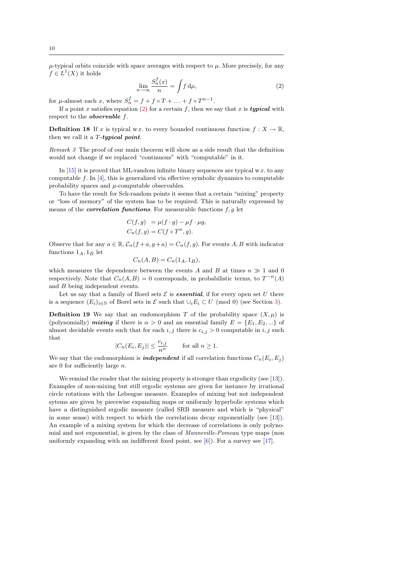<span id="page-10-2"></span> $\mu$ -typical orbits coincide with space averages with respect to  $\mu$ . More precisely, for any  $f \in L^1(X)$  it holds

<span id="page-10-1"></span>
$$
\lim_{n \to \infty} \frac{S_n^f(x)}{n} = \int f \, \mathrm{d}\mu,\tag{2}
$$

for  $\mu$ -almost each x, where  $S_n^f = f + f \circ T + \ldots + f \circ T^{n-1}$ .

If a point x satisfies equation [\(2\)](#page-10-1) for a certain f, then we say that x is **typical** with respect to the *observable* f.

<span id="page-10-0"></span>**Definition 18** If x is typical w.r. to every bounded continuous function  $f: X \to \mathbb{R}$ , then we call it a  $T$ -typical point.

Remark 3 The proof of our main theorem will show as a side result that the definition would not change if we replaced "continuous" with "computable" in it.

In [\[15\]](#page-18-8) it is proved that ML-random infinite binary sequences are typical w.r. to any computable  $f$ . In [\[4\]](#page-17-5), this is generalized via effective symbolic dynamics to computable probability spaces and  $\mu$ -computable observables.

To have the result for Sch-random points it seems that a certain "mixing" property or "loss of memory" of the system has to be required. This is naturally expressed by means of the *correlation functions*. For measurable functions  $f, g$  let

$$
C(f,g) = \mu(f \cdot g) - \mu f \cdot \mu g,
$$
  
\n
$$
C_n(f,g) = C(f \circ T^n, g).
$$

Observe that for any  $a \in \mathbb{R}$ ,  $C_n(f + a, g + a) = C_n(f, g)$ . For events A, B with indicator functions  $1_A$ ,  $1_B$  let

$$
C_n(A, B) = C_n(1_A, 1_B),
$$

which measures the dependence between the events A and B at times  $n \gg 1$  and 0 respectively. Note that  $C_n(A, B) = 0$  corresponds, in probabilistic terms, to  $T^{-n}(A)$ and B being independent events.

Let us say that a family of Borel sets  $\mathcal E$  is **essential**, if for every open set U there is a sequence  $(E_i)_{i\in\mathbb{N}}$  of Borel sets in  $\mathcal E$  such that  $\cup_i E_i \subset U \pmod{0}$  (see Section [3\)](#page-4-2).

**Definition 19** We say that an endomorphism T of the probability space  $(X, \mu)$  is (polynomially) mixing if there is  $\alpha > 0$  and an essential family  $E = \{E_1, E_2, ...\}$  of almost decidable events such that for each  $i, j$  there is  $c_{i,j} > 0$  computable in  $i, j$  such that

$$
|C_n(E_i,E_j)|\leq \frac{c_{i,j}}{n^{\alpha}}\qquad\text{ for all }n\geq 1.
$$

We say that the endomorphism is *independent* if all correlation functions  $C_n(E_i, E_j)$ are 0 for sufficiently large n.

We remind the reader that the mixing property is stronger than ergodicity (see [\[13\]](#page-18-9)). Examples of non-mixing but still ergodic systems are given for instance by irrational circle rotations with the Lebesgue measure. Examples of mixing but not independent sytems are given by piecewise expanding maps or uniformly hyperbolic systems which have a distinguished ergodic measure (called SRB measure and which is "physical" in some sense) with respect to which the correlations decay exponentially (see [\[13\]](#page-18-9)). An example of a mixing system for which the decrease of correlations is only polynomial and not exponential, is given by the class of Manneville-Pomeau type maps (non uniformly expanding with an indifferent fixed point, see  $[6]$ ). For a survey see [\[17\]](#page-18-10).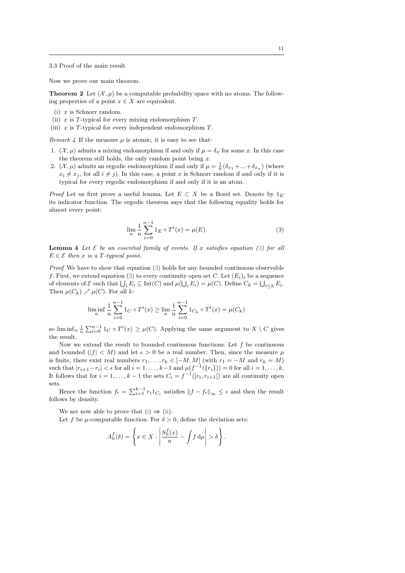<span id="page-11-0"></span>3.3 Proof of the main result

Now we prove our main theorem.

**Theorem 2** Let  $(\mathcal{X}, \mu)$  be a computable probability space with no atoms. The following properties of a point  $x \in X$  are equivalent.

- <span id="page-11-2"></span> $(i)$  x is Schnorr random.
- <span id="page-11-3"></span>(ii)  $x$  is T-typical for every mixing endomorphism  $T$ .
- <span id="page-11-5"></span>(iii)  $x$  is  $T$ -typical for every independent endomorphism  $T$ .

Remark 4 If the measure  $\mu$  is atomic, it is easy to see that:

- 1. ( $\mathcal{X}, \mu$ ) admits a mixing endomorphism if and only if  $\mu = \delta_x$  for some x. In this case the theorem still holds, the only random point being  $x$ .
- 2.  $(\mathcal{X}, \mu)$  admits an ergodic endomorphism if and only if  $\mu = \frac{1}{n}(\delta_{x_1} + ... + \delta_{x_n})$  (where  $x_i \neq x_j$ , for all  $i \neq j$ ). In this case, a point x is Schnorr random if and only if it is typical for every ergodic endomorphism if and only if it is an atom.

*Proof* Let us first prove a useful lemma. Let  $E \subset X$  be a Borel set. Denote by  $1_E$ its indicator function. The ergodic theorem says that the following equality holds for almost every point:

<span id="page-11-1"></span>
$$
\lim_{n} \frac{1}{n} \sum_{i=0}^{n-1} 1_E \circ T^i(x) = \mu(E). \tag{3}
$$

<span id="page-11-4"></span>**Lemma 4** Let  $\mathcal{E}$  be an essential family of events. If x satisfies equation [\(3\)](#page-11-1) for all  $E \in \mathcal{E}$  then x is a T-typical point.

*Proof* We have to show that equation  $(3)$  holds for any bounded continuous observable f. First, we extend equation [\(3\)](#page-11-1) to every continuity open set C. Let  $(E_i)_i$  be a sequence of elements of  $\mathcal E$  such that  $\bigcup_i E_i \subseteq \text{Int}(C)$  and  $\mu(\bigcup_i E_i) = \mu(C)$ . Define  $C_k = \bigcup_{i \leq k} E_i$ . Then  $\mu(C_k) \nearrow \mu(C)$ . For all k:

$$
\liminf_{n} \frac{1}{n} \sum_{i=0}^{n-1} 1_C \circ T^i(x) \ge \lim_{n} \frac{1}{n} \sum_{i=0}^{n-1} 1_{C_k} \circ T^i(x) = \mu(C_k)
$$

so  $\liminf_n \frac{1}{n} \sum_{i=0}^{n-1} 1_C \circ T^i(x) \geq \mu(C)$ . Applying the same argument to  $X \setminus C$  gives the result.

Now we extend the result to bounded continuous functions. Let  $f$  be continuous and bounded  $(|f| < M)$  and let  $\epsilon > 0$  be a real number. Then, since the measure  $\mu$ is finite, there exist real numbers  $r_1, \ldots, r_k \in [-M, M]$  (with  $r_1 = -M$  and  $r_k = M$ ) such that  $|r_{i+1}-r_i| < \epsilon$  for all  $i = 1, ..., k-1$  and  $\mu(f^{-1}(\{r_i\})) = 0$  for all  $i = 1, ..., k$ . It follows that for  $i = 1, ..., k - 1$  the sets  $C_i = f^{-1}(r_i, r_{i+1}|)$  are all continuity open sets.

Hence the function  $f_{\epsilon} = \sum_{i=1}^{k-1} r_i 1_{C_i}$  satisfies  $||f - f_{\epsilon}||_{\infty} \leq \epsilon$  and then the result follows by density.

We are now able to prove that  $(i) \Rightarrow (ii)$  $(i) \Rightarrow (ii)$  $(i) \Rightarrow (ii)$ .

Let f be  $\mu$ -computable function. For  $\delta > 0$ , define the deviation sets:

$$
A_n^f(\delta) = \left\{ x \in X : \left| \frac{S_n^f(x)}{n} - \int f \, \mathrm{d}\mu \right| > \delta \right\}.
$$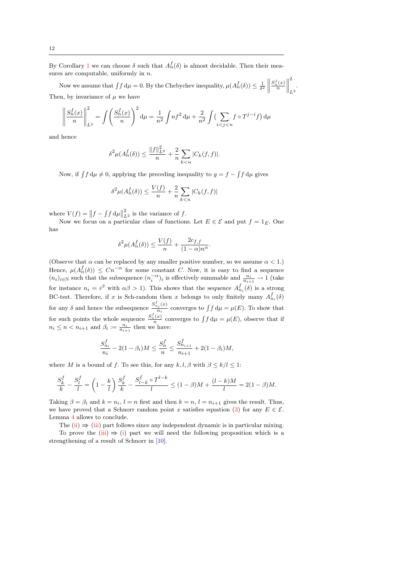<span id="page-12-1"></span>By Corollary [1](#page-7-2) we can choose  $\delta$  such that  $A_n^f(\delta)$  is almost decidable. Then their measures are computable, uniformly in  $n$ .

Now we assume that  $\int f d\mu = 0$ . By the Chebychev inequality,  $\mu(A_n^f(\delta)) \leq \frac{1}{\delta^2}$  $\frac{S_n^f(x)}{n}$ |<br>|<br>|<br>|<br>| 2  $L^2$ . Then, by invariance of  $\mu$  we have

$$
\left\| \frac{S_n^f(x)}{n} \right\|_{L^2}^2 = \int \left( \frac{S_n^f(x)}{n} \right)^2 d\mu = \frac{1}{n^2} \int n f^2 d\mu + \frac{2}{n^2} \int \left( \sum_{i < j < n} f \circ T^{j-i} f \right) d\mu
$$

and hence

$$
\delta^2 \mu(A_n^f(\delta)) \le \frac{\|f\|_{L^2}^2}{n} + \frac{2}{n} \sum_{k < n} |C_k(f, f)|.
$$

Now, if  $\int f d\mu \neq 0$ , applying the preceding inequality to  $g = f - \int f d\mu$  gives

$$
\delta^2 \mu(A_n^f(\delta)) \le \frac{V(f)}{n} + \frac{2}{n} \sum_{k < n} |C_k(f, f)|
$$

where  $V(f) = ||f - \int f d\mu||$  $\frac{2}{L^2}$  is the variance of f.

Now we focus on a particular class of functions. Let  $E \in \mathcal{E}$  and put  $f = 1_E$ . One has

$$
\delta^2 \mu(A_n^f(\delta)) \le \frac{V(f)}{n} + \frac{2c_{f,f}}{(1-\alpha)n^{\alpha}}
$$

.

(Observe that  $\alpha$  can be replaced by any smaller positive number, so we assume  $\alpha < 1$ .) Hence,  $\mu(A_n^f(\delta)) \leq Cn^{-\alpha}$  for some constant C. Now, it is easy to find a sequence  $(n_i)_{i\in\mathbb N}$  such that the subsequence  $(n_i^{-\alpha})_i$  is effectively summable and  $\frac{n_i}{n_{i+1}}\to 1$  (take for instance  $n_i = i^{\beta}$  with  $\alpha \beta > 1$ ). This shows that the sequence  $A_{n_i}^f(\delta)$  is a strong BC-test. Therefore, if x is Sch-random then x belongs to only finitely many  $A_{n_i}^f(\delta)$  $\check{n}_i$ for any  $\delta$  and hence the subsequence  $\frac{S_{n_i}^f(x)}{n_i}$  $\frac{\mu_i(\omega)}{n_i}$  converges to  $\int f d\mu = \mu(E)$ . To show that for such points the whole sequence  $\frac{S_n^f(x)}{n}$  converges to  $\int f d\mu = \mu(E)$ , observe that if  $n_i \leq n < n_{i+1}$  and  $\beta_i := \frac{n_i}{n_{i+1}}$  then we have:

<span id="page-12-0"></span>
$$
\frac{S_{n_i}^f}{n_i} - 2(1 - \beta_i)M \le \frac{S_n^f}{n} \le \frac{S_{n_{i+1}}^f}{n_{i+1}} + 2(1 - \beta_i)M,
$$

where M is a bound of f. To see this, for any k, l,  $\beta$  with  $\beta \leq k/l \leq 1$ :

$$
\frac{S_k^f}{k} - \frac{S_l^f}{l} = \left(1 - \frac{k}{l}\right) \frac{S_k^f}{k} - \frac{S_{l-k}^f \circ T^{l-k}}{l} \le (1 - \beta)M + \frac{(l-k)M}{l} = 2(1 - \beta)M.
$$

Taking  $\beta = \beta_i$  and  $k = n_i$ ,  $l = n$  first and then  $k = n$ ,  $l = n_{i+1}$  gives the result. Thus, we have proved that a Schnorr random point x satisfies equation [\(3\)](#page-11-1) for any  $E \in \mathcal{E}$ . Lemma [4](#page-11-4) allows to conclude.

The [\(ii\)](#page-11-3)  $\Rightarrow$  [\(iii\)](#page-11-5) part follows since any independent dynamic is in particular mixing. To prove the [\(iii\)](#page-11-5)  $\Rightarrow$  [\(i\)](#page-11-2) part we will need the following proposition which is a strengthening of a result of Schnorr in [\[10\]](#page-18-2).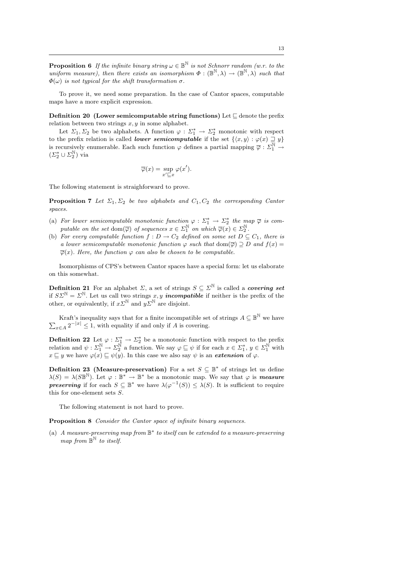**Proposition 6** If the infinite binary string  $\omega \in \mathbb{B}^{\mathbb{N}}$  is not Schnorr random (w.r. to the uniform measure), then there exists an isomorphism  $\Phi : (\mathbb{B}^{\mathbb{N}}, \lambda) \to (\mathbb{B}^{\mathbb{N}}, \lambda)$  such that  $\Phi(\omega)$  is not typical for the shift transformation  $\sigma$ .

To prove it, we need some preparation. In the case of Cantor spaces, computable maps have a more explicit expression.

Definition 20 (Lower semicomputable string functions) Let  $\sqsubseteq$  denote the prefix relation between two strings  $x, y$  in some alphabet.

Let  $\Sigma_1, \Sigma_2$  be two alphabets. A function  $\varphi : \Sigma_1^* \to \Sigma_2^*$  monotonic with respect to the prefix relation is called *lower semicomputable* if the set  $\{\langle x, y \rangle : \varphi(x) \sqsupseteq y\}$ is recursively enumerable. Each such function  $\varphi$  defines a partial mapping  $\overline{\varphi}: \Sigma_1^{\mathbb{N}} \to$  $(\varSigma_2^*\cup\varSigma_2^{\mathbb{N}})$  via

$$
\overline{\varphi}(x) = \sup_{x' \sqsubseteq x} \varphi(x').
$$

<span id="page-13-0"></span>The following statement is straighforward to prove.

**Proposition 7** Let  $\Sigma_1, \Sigma_2$  be two alphabets and  $C_1, C_2$  the corresponding Cantor spaces.

- (a) For lower semicomputable monotonic function  $\varphi : \Sigma_1^* \to \Sigma_2^*$  the map  $\overline{\varphi}$  is computable on the set dom $(\overline{\varphi})$  of sequences  $x \in \Sigma_1^{\mathbb{N}}$  on which  $\overline{\varphi}(x) \in \Sigma_2^{\mathbb{N}}$ .
- (b) For every computable function  $f: D \to C_2$  defined on some set  $D \subseteq C_1$ , there is a lower semicomputable monotonic function  $\varphi$  such that  $dom(\overline{\varphi}) \supset D$  and  $f(x) =$  $\overline{\varphi}(x)$ . Here, the function  $\varphi$  can also be chosen to be computable.

Isomorphisms of CPS's between Cantor spaces have a special form: let us elaborate on this somewhat.

**Definition 21** For an alphabet  $\Sigma$ , a set of strings  $S \subseteq \Sigma^{\mathbb{N}}$  is called a *covering set* if  $S\Sigma^{\mathbb{N}} = \Sigma^{\mathbb{N}}$ . Let us call two strings x, y **incompatible** if neither is the prefix of the other, or equivalently, if  $x \Sigma^{\mathbb{N}}$  and  $y \Sigma^{\mathbb{N}}$  are disjoint.

Kraft's inequality says that for a finite incompatible set of strings  $A \subseteq \mathbb{B}^{\mathbb{N}}$  we have  $\sum_{x \in A} 2^{-|x|} \leq 1$ , with equality if and only if A is covering.

**Definition 22** Let  $\varphi : \Sigma_{\frac{1}{N}}^* \to \Sigma_{2}^*$  be a monotonic function with respect to the prefix relation and  $\psi : \Sigma_1^{\mathbb{N}} \to \Sigma_2^{\mathbb{N}}$  a function. We say  $\varphi \sqsubseteq \psi$  if for each  $x \in \Sigma_1^*$ ,  $y \in \Sigma_1^{\mathbb{N}}$  with  $x \sqsubseteq y$  we have  $\varphi(x) \sqsubseteq \psi(y)$ . In this case we also say  $\psi$  is an *extension* of  $\varphi$ .

**Definition 23** (Measure-preservation) For a set  $S \subseteq \mathbb{B}^*$  of strings let us define  $\lambda(S) = \lambda(S\mathbb{B}^N)$ . Let  $\varphi : \mathbb{B}^* \to \mathbb{B}^*$  be a monotonic map. We say that  $\varphi$  is **measure preserving** if for each  $S \subseteq \mathbb{B}^*$  we have  $\lambda(\varphi^{-1}(S)) \leq \lambda(S)$ . It is sufficient to require this for one-element sets S.

The following statement is not hard to prove.

Proposition 8 Consider the Cantor space of infinite binary sequences.

(a) A measure-preserving map from  $\mathbb{B}^*$  to itself can be extended to a measure-preserving map from  $\mathbb{B}^{\mathbb{N}}$  to itself.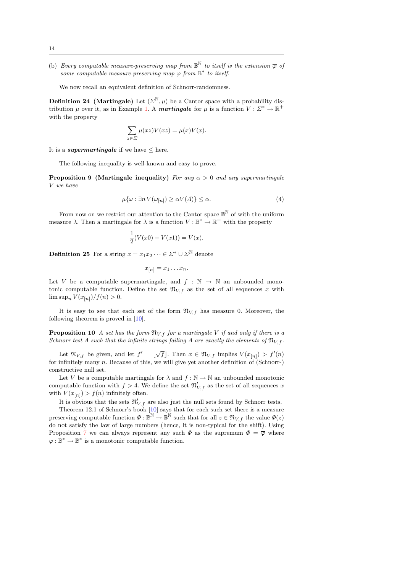<span id="page-14-1"></span>(b) Every computable measure-preserving map from  $\mathbb{B}^{\mathbb{N}}$  to itself is the extension  $\overline{\varphi}$  of some computable measure-preserving map  $\varphi$  from  $\mathbb{B}^*$  to itself.

We now recall an equivalent definition of Schnorr-randomness.

**Definition 24** (Martingale) Let  $(\Sigma^{\mathbb{N}}, \mu)$  be a Cantor space with a probability distribution  $\mu$  over it, as in Example [1.](#page-5-0) A **martingale** for  $\mu$  is a function  $V : \Sigma^* \to \mathbb{R}^+$ with the property

$$
\sum_{z \in \Sigma} \mu(xz) V(xz) = \mu(x) V(x).
$$

It is a *supermartingale* if we have  $\leq$  here.

The following inequality is well-known and easy to prove.

**Proposition 9 (Martingale inequality)** For any  $\alpha > 0$  and any supermartingale V we have

$$
\mu\{\omega : \exists n \ V(\omega_{[n]}) \ge \alpha V(\Lambda)\} \le \alpha. \tag{4}
$$

From now on we restrict our attention to the Cantor space  $\mathbb{B}^{\mathbb{N}}$  of with the uniform measure  $\lambda$ . Then a martingale for  $\lambda$  is a function  $V : \mathbb{B}^* \to \mathbb{R}^+$  with the property

$$
\frac{1}{2}(V(x0) + V(x1)) = V(x).
$$

**Definition 25** For a string  $x = x_1 x_2 \cdots \in \Sigma^* \cup \Sigma^{\mathbb{N}}$  denote

<span id="page-14-0"></span>
$$
x_{[n]} = x_1 \dots x_n.
$$

Let V be a computable supermartingale, and  $f : \mathbb{N} \to \mathbb{N}$  an unbounded monotonic computable function. Define the set  $\mathfrak{N}_{V,f}$  as the set of all sequences x with  $\limsup_{n} V(x_{[n]})/f(n) > 0.$ 

It is easy to see that each set of the form  $\mathfrak{N}_{V,f}$  has measure 0. Moreover, the following theorem is proved in [\[10\]](#page-18-2).

**Proposition 10** A set has the form  $\mathfrak{N}_{V,f}$  for a martingale V if and only if there is a Schnorr test A such that the infinite strings failing A are exactly the elements of  $\mathfrak{N}_{V}$  f.

Let  $\mathfrak{N}_{V,f}$  be given, and let  $f' = \lfloor \sqrt{f} \rfloor$ . Then  $x \in \mathfrak{N}_{V,f}$  implies  $V(x_{[n]}) > f'(n)$ for infinitely many  $n$ . Because of this, we will give yet another definition of (Schnorr-) constructive null set.

Let V be a computable martingale for  $\lambda$  and  $f : \mathbb{N} \to \mathbb{N}$  an unbounded monotonic computable function with  $f > 4$ . We define the set  $\mathfrak{N}'_{V,f}$  as the set of all sequences x with  $V(x_{[n]}) > f(n)$  infinitely often.

It is obvious that the sets  $\mathfrak{N}'_{V,f}$  are also just the null sets found by Schnorr tests. Theorem 12.1 of Schnorr's book [\[10\]](#page-18-2) says that for each such set there is a measure preserving computable function  $\Phi: \mathbb{B}^{\mathbb{N}} \to \mathbb{B}^{\mathbb{N}}$  such that for all  $z \in \mathfrak{N}_{V,f}$  the value  $\Phi(z)$ do not satisfy the law of large numbers (hence, it is non-typical for the shift). Using Proposition [7](#page-13-0) we can always represent any such  $\Phi$  as the supremum  $\Phi = \overline{\varphi}$  where  $\varphi:\mathbb{B}^*\to\mathbb{B}^*$  is a monotonic computable function.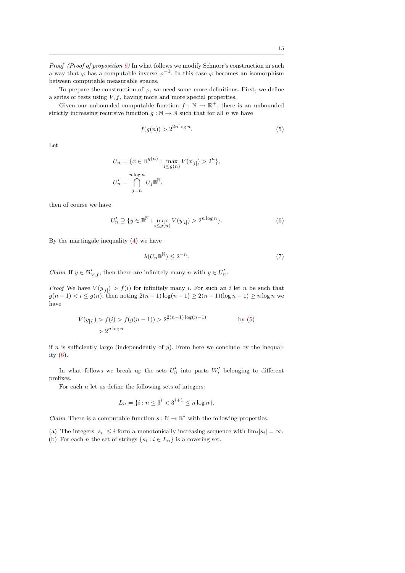*Proof (Proof of proposition [6\)](#page-12-0)* In what follows we modify Schnorr's construction in such a way that  $\overline{\varphi}$  has a computable inverse  $\overline{\varphi}^{-1}$ . In this case  $\overline{\varphi}$  becomes an isomorphism between computable measurable spaces.

To prepare the construction of  $\overline{\varphi}$ , we need some more definitions. First, we define a series of tests using  $V, f$ , having more and more special properties.

Given our unbounded computable function  $f : \mathbb{N} \to \mathbb{R}^+$ , there is an unbounded strictly increasing recursive function  $g : \mathbb{N} \to \mathbb{N}$  such that for all n we have

<span id="page-15-0"></span>
$$
f(g(n)) > 2^{2n \log n}.\tag{5}
$$

Let

$$
U_n = \{x \in \mathbb{B}^{g(n)} : \max_{i \le g(n)} V(x_{[i]}) > 2^n\},\
$$
  

$$
U'_n = \bigcap_{j=n}^{n \log n} U_j \mathbb{B}^{\mathbb{N}},
$$

then of course we have

$$
U'_n \supseteq \{ y \in \mathbb{B}^{\mathbb{N}} : \max_{i \le g(n)} V(y_{[i]}) > 2^{n \log n} \}.
$$
 (6)

By the martingale inequality [\(4\)](#page-14-0) we have

<span id="page-15-2"></span><span id="page-15-1"></span>
$$
\lambda(U_n \mathbb{B}^{\mathbb{N}}) \le 2^{-n}.\tag{7}
$$

*Claim* If  $y \in \mathfrak{N}'_{V,f}$ , then there are infinitely many  $n$  with  $y \in U'_n$ .

*Proof* We have  $V(y_{[i]}) > f(i)$  for infinitely many i. For such an i let n be such that  $g(n-1) < i \le g(n)$ , then noting  $2(n-1)\log(n-1) \ge 2(n-1)(\log n - 1) \ge n \log n$  we have

$$
V(y_{[i]}) > f(i) > f(g(n-1)) > 2^{2(n-1)\log(n-1)}
$$
 by (5)  
>  $2^{n\log n}$ 

if n is sufficiently large (independently of  $y$ ). From here we conclude by the inequality [\(6\)](#page-15-1).

In what follows we break up the sets  $U'_n$  into parts  $W'_i$  belonging to different prefixes.

For each  $n$  let us define the following sets of integers:

$$
L_n = \{i : n \le 3^i < 3^{i+1} \le n \log n\}.
$$

 $Claim$  There is a computable function  $s:\mathbb{N}\rightarrow \mathbb{B}^*$  with the following properties.

- (a) The integers  $|s_i| \leq i$  form a monotonically increasing sequence with  $\lim_i |s_i| = \infty$ .
- (b) For each *n* the set of strings  $\{s_i : i \in L_n\}$  is a covering set.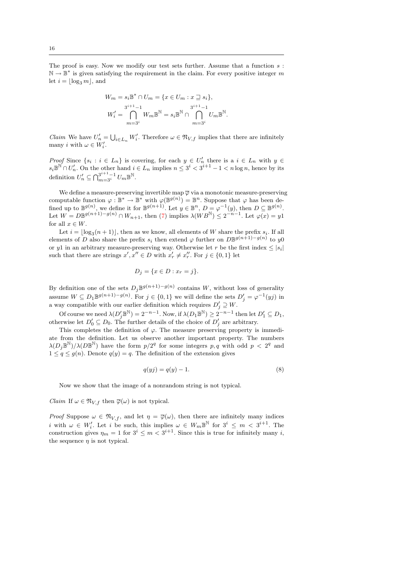The proof is easy. Now we modify our test sets further. Assume that a function  $s$ :  $\mathbb{N} \to \mathbb{B}^*$  is given satisfying the requirement in the claim. For every positive integer  $m$ let  $i = \lfloor \log_3 m \rfloor$ , and

$$
W_m = s_i \mathbb{B}^* \cap U_m = \{ x \in U_m : x \sqsupseteq s_i \},
$$
  

$$
W_i' = \bigcap_{m=3^i}^{3^{i+1}-1} W_m \mathbb{B}^{\mathbb{N}} = s_i \mathbb{B}^{\mathbb{N}} \cap \bigcap_{m=3^i}^{3^{i+1}-1} U_m \mathbb{B}^{\mathbb{N}}.
$$

*Claim* We have  $U'_n = \bigcup_{i \in L_n} W'_i$ . Therefore  $\omega \in \mathfrak{N}_{V,f}$  implies that there are infinitely many *i* with  $\omega \in W'_i$ .

Proof Since  $\{s_i : i \in L_n\}$  is covering, for each  $y \in U'_n$  there is a  $i \in L_n$  with  $y \in$  $s_i\mathbb{B}^{\mathbb{N}} \cap U'_n$ . On the other hand  $i \in L_n$  implies  $n \leq 3^i < 3^{i+1} - 1 < n \log n$ , hence by its definition  $U'_n \subseteq \bigcap_{m=3^i}^{3^{i+1}-1} U_m \mathbb{B}^{\mathbb{N}}$ .

We define a measure-preserving invertible map  $\overline{\varphi}$  via a monotonic measure-preserving computable function  $\varphi : \mathbb{B}^* \to \mathbb{B}^*$  with  $\varphi(\mathbb{B}^{g(n)}) = \mathbb{B}^n$ . Suppose that  $\varphi$  has been defined up to  $\mathbb{B}^{g(n)}$ , we define it for  $\mathbb{B}^{g(n+1)}$ . Let  $y \in \mathbb{B}^n$ ,  $D = \varphi^{-1}(y)$ , then  $D \subseteq \mathbb{B}^{g(n)}$ . Let  $W = D\mathbb{B}^{g(n+1)-g(n)} \cap W_{n+1}$ , then [\(7\)](#page-15-2) implies  $\lambda(WB^{\mathbb{N}}) \leq 2^{-n-1}$ . Let  $\varphi(x) = y1$ for all  $x \in W$ .

Let  $i = \lfloor \log_3(n+1) \rfloor$ , then as we know, all elements of W share the prefix  $s_i$ . If all elements of D also share the prefix  $s_i$  then extend  $\varphi$  further on  $D\mathbb{B}^{g(n+1)-g(n)}$  to  $y0$ or y1 in an arbitrary measure-preserving way. Otherwise let r be the first index  $\leq |s_i|$ such that there are strings  $x', x'' \in D$  with  $x'_r \neq x''_r$ . For  $j \in \{0, 1\}$  let

$$
D_j = \{x \in D : x_r = j\}.
$$

By definition one of the sets  $D_j \mathbb{B}^{g(n+1)-g(n)}$  contains W, without loss of generality assume  $W \subseteq D_1 \mathbb{B}^{g(n+1)-g(n)}$ . For  $j \in \{0,1\}$  we will define the sets  $D'_j = \varphi^{-1}(y_j)$  in a way compatible with our earlier definition which requires  $D'_j \supseteq W$ .

Of course we need  $\lambda(D'_j\mathbb{B}^{\mathbb{N}})=2^{-n-1}$ . Now, if  $\lambda(D_1\mathbb{B}^{\mathbb{N}})\geq 2^{-n-1}$  then let  $D'_1\subseteq D_1$ , otherwise let  $D'_0 \subseteq D_0$ . The further details of the choice of  $D'_j$  are arbitrary.

This completes the definition of  $\varphi$ . The measure preserving property is immediate from the definition. Let us observe another important property. The numbers  $\lambda(D_j\mathbb{B}^{\mathbb{N}})/\lambda(D\mathbb{B}^{\mathbb{N}})$  have the form  $p/2^q$  for some integers  $p, q$  with odd  $p < 2^q$  and  $1 \leq q \leq g(n)$ . Denote  $q(y) = q$ . The definition of the extension gives

<span id="page-16-0"></span>
$$
q(yj) = q(y) - 1.\t\t(8)
$$

Now we show that the image of a nonrandom string is not typical.

*Claim* If  $\omega \in \mathfrak{N}_{V, f}$  then  $\overline{\varphi}(\omega)$  is not typical.

Proof Suppose  $\omega \in \mathfrak{N}_{V,f}$ , and let  $\eta = \overline{\varphi}(\omega)$ , then there are infinitely many indices i with  $\omega \in W'_i$ . Let i be such, this implies  $\omega \in W_m \mathbb{B}^{\mathbb{N}}$  for  $3^i \leq m < 3^{i+1}$ . The construction gives  $\eta_m = 1$  for  $3^i \leq m < 3^{i+1}$ . Since this is true for infinitely many *i*, the sequence  $\eta$  is not typical.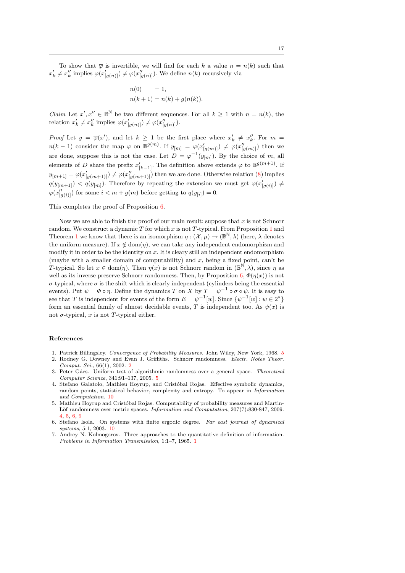To show that  $\overline{\varphi}$  is invertible, we will find for each k a value  $n = n(k)$  such that  $x'_k \neq x''_k$  implies  $\varphi(x'_{[g(n)]}) \neq \varphi(x''_{[g(n)]})$ . We define  $n(k)$  recursively via

$$
n(0) = 1,
$$
  
\n
$$
n(k+1) = n(k) + g(n(k)).
$$

*Claim* Let  $x', x'' \in \mathbb{B}^{\mathbb{N}}$  be two different sequences. For all  $k \geq 1$  with  $n = n(k)$ , the relation  $x'_k \neq x''_k$  implies  $\varphi(x'_{[g(n)]}) \neq \varphi(x''_{[g(n)]})$ .

*Proof* Let  $y = \overline{\varphi}(x')$ , and let  $k \ge 1$  be the first place where  $x'_k \ne x''_k$ . For  $m =$  $n(k-1)$  consider the map  $\varphi$  on  $\mathbb{B}^{g(m)}$ . If  $y_{[m]} = \varphi(x'_{[g(m)]}) \neq \varphi(x''_{[g(m)]})$  then we are done, suppose this is not the case. Let  $D = \varphi^{-1}(y_{[m]})$ . By the choice of m, all elements of D share the prefix  $x'_{[k-1]}$ . The definition above extends  $\varphi$  to  $\mathbb{B}^{g(m+1)}$ . If  $y_{[m+1]} = \varphi(x'_{[g(m+1)]}) \neq \varphi(x''_{[g(m+1)]})$  then we are done. Otherwise relation [\(8\)](#page-16-0) implies  $q(y_{[m+1]}) < q(y_{[m]})$ . Therefore by repeating the extension we must get  $\varphi(x'_{[g(i)]}) \neq$  $\varphi(x''_{[g(i)]})$  for some  $i < m + g(m)$  before getting to  $q(y_{[i]}) = 0$ .

This completes the proof of Proposition [6.](#page-12-0)

Now we are able to finish the proof of our main result: suppose that  $x$  is not Schnorr random. We construct a dynamic T for which x is not T-typical. From Proposition [1](#page-6-1) and Theorem [1](#page-8-2) we know that there is an isomorphism  $\eta : (\mathcal{X}, \mu) \to (\mathbb{B}^{\mathbb{N}}, \lambda)$  (here,  $\lambda$  denotes the uniform measure). If  $x \notin \text{dom}(\eta)$ , we can take any independent endomorphism and modify it in order to be the identity on x. It is cleary still an independent endomorphism (maybe with a smaller domain of computability) and  $x$ , being a fixed point, can't be T-typical. So let  $x \in \text{dom}(\eta)$ . Then  $\eta(x)$  is not Schnorr random in  $(\mathbb{B}^{\mathbb{N}}, \lambda)$ , since  $\eta$  as well as its inverse preserve Schnorr randomness. Then, by Proposition [6,](#page-12-0)  $\Phi(\eta(x))$  is not  $\sigma$ -typical, where  $\sigma$  is the shift which is clearly independent (cylinders being the essential events). Put  $\psi = \Phi \circ \eta$ . Define the dynamics T on X by  $T = \psi^{-1} \circ \sigma \circ \psi$ . It is easy to see that T is independent for events of the form  $E = \psi^{-1}[w]$ . Since  $\{\psi^{-1}[w] : w \in 2^*\}$ form an essential family of almost decidable events, T is independent too. As  $\psi(x)$  is not σ-typical, x is not T-typical either.

#### References

- <span id="page-17-3"></span>1. Patrick Billingsley. Convergence of Probability Measures. John Wiley, New York, 1968. [5](#page-5-2)
- <span id="page-17-1"></span>Rodney G. Downey and Evan J. Griffiths. Schnorr randomness. Electr. Notes Theor. Comput. Sci., 66(1), 2002. [2](#page-2-1)
- <span id="page-17-4"></span>3. Peter Gács. Uniform test of algorithmic randomness over a general space. Theoretical Computer Science, 341:91–137, 2005. [5](#page-5-2)
- <span id="page-17-5"></span>4. Stefano Galatolo, Mathieu Hoyrup, and Cristóbal Rojas. Effective symbolic dynamics. random points, statistical behavior, complexity and entropy. To appear in Information and Computation. [10](#page-10-2)
- <span id="page-17-2"></span>5. Mathieu Hoyrup and Cristóbal Rojas. Computability of probability measures and Martin-Löf randomness over metric spaces. *Information and Computation*, 207(7):830-847, 2009. [4,](#page-4-3) [5,](#page-5-2) [6,](#page-6-3) [9](#page-9-0)
- <span id="page-17-6"></span>6. Stefano Isola. On systems with finite ergodic degree. Far east journal of dynamical systems, 5:1, 2003. [10](#page-10-2)
- <span id="page-17-0"></span>7. Andrey N. Kolmogorov. Three approaches to the quantitative definition of information. Problems in Information Transmission, 1:1–7, 1965. [1](#page-1-0)